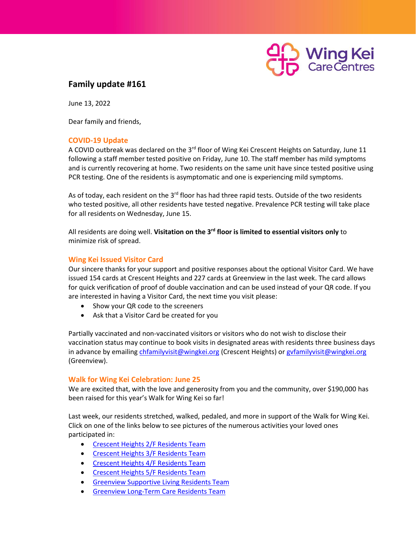

## **Family update #161**

June 13, 2022

Dear family and friends,

## **COVID-19 Update**

A COVID outbreak was declared on the 3<sup>rd</sup> floor of Wing Kei Crescent Heights on Saturday, June 11 following a staff member tested positive on Friday, June 10. The staff member has mild symptoms and is currently recovering at home. Two residents on the same unit have since tested positive using PCR testing. One of the residents is asymptomatic and one is experiencing mild symptoms.

As of today, each resident on the 3<sup>rd</sup> floor has had three rapid tests. Outside of the two residents who tested positive, all other residents have tested negative. Prevalence PCR testing will take place for all residents on Wednesday, June 15.

All residents are doing well. **Visitation on the 3rd floor is limited to essential visitors only** to minimize risk of spread.

## **Wing Kei Issued Visitor Card**

Our sincere thanks for your support and positive responses about the optional Visitor Card. We have issued 154 cards at Crescent Heights and 227 cards at Greenview in the last week. The card allows for quick verification of proof of double vaccination and can be used instead of your QR code. If you are interested in having a Visitor Card, the next time you visit please:

- Show your QR code to the screeners
- Ask that a Visitor Card be created for you

Partially vaccinated and non-vaccinated visitors or visitors who do not wish to disclose their vaccination status may continue to book visits in designated areas with residents three business days in advance by emailing [chfamilyvisit@wingkei.org](mailto:chfamilyvisit@wingkei.org) (Crescent Heights) or gyfamilyvisit@wingkei.org (Greenview).

## **Walk for Wing Kei Celebration: June 25**

We are excited that, with the love and generosity from you and the community, over \$190,000 has been raised for this year's Walk for Wing Kei so far!

Last week, our residents stretched, walked, pedaled, and more in support of the Walk for Wing Kei. Click on one of the links below to see pictures of the numerous activities your loved ones participated in:

- [Crescent Heights 2/F Residents Team](https://www.canadahelps.org/en/charities/chinese-christian-wing-kei-nursing-home-association/p2p/22WalkForWingKei/team/wkch-2f-residents-team/)
- [Crescent Heights 3/F Residents Team](https://www.canadahelps.org/en/charities/chinese-christian-wing-kei-nursing-home-association/p2p/22WalkForWingKei/team/wkch-3f-residents-team/)
- **•** [Crescent Heights 4/F Residents Team](https://www.canadahelps.org/en/charities/chinese-christian-wing-kei-nursing-home-association/p2p/22WalkForWingKei/team/wkch-4f-residents-team/)
- [Crescent Heights 5/F Residents Team](https://www.canadahelps.org/en/charities/chinese-christian-wing-kei-nursing-home-association/p2p/22WalkForWingKei/team/wkch-5f-residents-team/)
- **[Greenview Supportive Living Residents Team](https://www.canadahelps.org/en/charities/chinese-christian-wing-kei-nursing-home-association/p2p/22WalkForWingKei/team/wkgv-sl-residents-team/)**
- [Greenview Long-Term Care Residents Team](https://www.canadahelps.org/en/charities/chinese-christian-wing-kei-nursing-home-association/p2p/22WalkForWingKei/team/wkgv-ltc/)